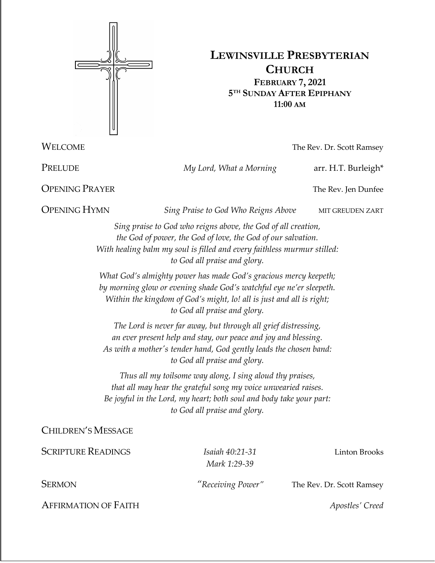

# **LEWINSVILLE PRESBYTERIAN CHURCH FEBRUARY 7, 2021 5TH SUNDAY AFTER EPIPHANY 11:00 AM**

**WELCOME** The Rev. Dr. Scott Ramsey

PRELUDE *My Lord, What a Morning* arr. H.T. Burleigh<sup>\*</sup>

**OPENING PRAYER** The Rev. Jen Dunfee

**OPENING HYMN** *Sing Praise to God Who Reigns Above* MIT GREUDEN ZART

*Sing praise to God who reigns above, the God of all creation, the God of power, the God of love, the God of our salvation. With healing balm my soul is filled and every faithless murmur stilled: to God all praise and glory.*

*What God's almighty power has made God's gracious mercy keepeth; by morning glow or evening shade God's watchful eye ne'er sleepeth. Within the kingdom of God's might, lo! all is just and all is right; to God all praise and glory.*

*The Lord is never far away, but through all grief distressing, an ever present help and stay, our peace and joy and blessing. As with a mother's tender hand, God gently leads the chosen band: to God all praise and glory.*

*Thus all my toilsome way along, I sing aloud thy praises, that all may hear the grateful song my voice unwearied raises. Be joyful in the Lord, my heart; both soul and body take your part: to God all praise and glory.*

CHILDREN'S MESSAGE

SCRIPTURE READINGS *Isaiah 40:21-31* Linton Brooks *Mark 1:29-39* SERMON *"Receiving Power"* The Rev. Dr. Scott Ramsey AFFIRMATION OF FAITH *Apostles' Creed*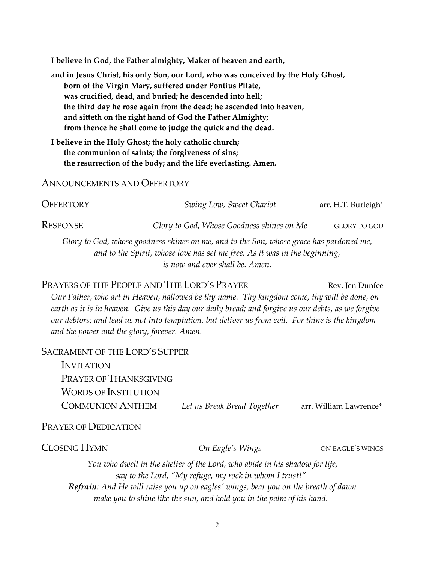**I believe in God, the Father almighty, Maker of heaven and earth,**

**and in Jesus Christ, his only Son, our Lord, who was conceived by the Holy Ghost, born of the Virgin Mary, suffered under Pontius Pilate, was crucified, dead, and buried; he descended into hell; the third day he rose again from the dead; he ascended into heaven, and sitteth on the right hand of God the Father Almighty; from thence he shall come to judge the quick and the dead.**

**I believe in the Holy Ghost; the holy catholic church; the communion of saints; the forgiveness of sins; the resurrection of the body; and the life everlasting. Amen.**

#### ANNOUNCEMENTS AND OFFERTORY

| OFFERTORY                                                                                                                                                                                                | Swing Low, Sweet Chariot                  | arr. H.T. Burleigh* |  |
|----------------------------------------------------------------------------------------------------------------------------------------------------------------------------------------------------------|-------------------------------------------|---------------------|--|
| Response                                                                                                                                                                                                 | Glory to God, Whose Goodness shines on Me | <b>GLORY TO GOD</b> |  |
| Glory to God, whose goodness shines on me, and to the Son, whose grace has pardoned me,<br>and to the Spirit, whose love has set me free. As it was in the beginning,<br>is now and ever shall be. Amen. |                                           |                     |  |

## PRAYERS OF THE PEOPLE AND THE LORD'S PRAYER Rev. Jen Dunfee

*Our Father, who art in Heaven, hallowed be thy name. Thy kingdom come, thy will be done, on earth as it is in heaven. Give us this day our daily bread; and forgive us our debts, as we forgive our debtors; and lead us not into temptation, but deliver us from evil. For thine is the kingdom and the power and the glory, forever. Amen.* 

### SACRAMENT OF THE LORD'S SUPPER

| Let us Break Bread Together | arr. William Lawrence* |
|-----------------------------|------------------------|
|                             |                        |

#### PRAYER OF DEDICATION

CLOSING HYMN *On Eagle's Wings* ON EAGLE'S WINGS

*You who dwell in the shelter of the Lord, who abide in his shadow for life, say to the Lord, "My refuge, my rock in whom I trust!" Refrain: And He will raise you up on eagles' wings, bear you on the breath of dawn make you to shine like the sun, and hold you in the palm of his hand.*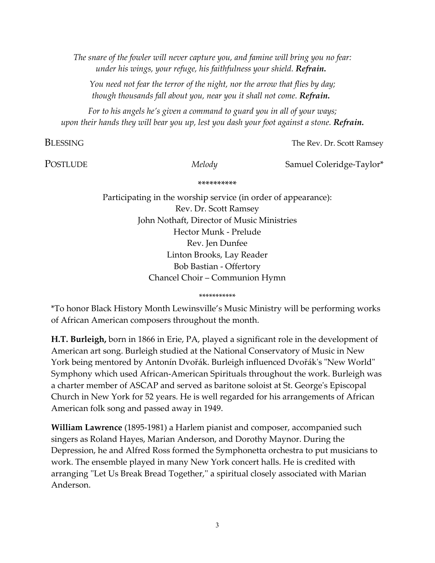*The snare of the fowler will never capture you, and famine will bring you no fear: under his wings, your refuge, his faithfulness your shield. Refrain.*

*You need not fear the terror of the night, nor the arrow that flies by day; though thousands fall about you, near you it shall not come. Refrain.*

*For to his angels he's given a command to guard you in all of your ways; upon their hands they will bear you up, lest you dash your foot against a stone. Refrain.*

**BLESSING** The Rev. Dr. Scott Ramsey

POSTLUDE *Melody* Samuel Coleridge-Taylor<sup>\*</sup>

#### \*\*\*\*\*\*\*\*\*\*

Participating in the worship service (in order of appearance): Rev. Dr. Scott Ramsey John Nothaft, Director of Music Ministries Hector Munk - Prelude Rev. Jen Dunfee Linton Brooks, Lay Reader Bob Bastian - Offertory Chancel Choir – Communion Hymn

\*\*\*\*\*\*\*\*\*\*\*

\*To honor Black History Month Lewinsville's Music Ministry will be performing works of African American composers throughout the month.

**H.T. Burleigh,** born in 1866 in Erie, PA, played a significant role in the development of American art song. Burleigh studied at the National Conservatory of Music in New York being mentored by Antonín Dvořák. Burleigh influenced Dvořák's "New World" Symphony which used African-American Spirituals throughout the work. Burleigh was a charter member of ASCAP and served as baritone soloist at St. George's Episcopal Church in New York for 52 years. He is well regarded for his arrangements of African American folk song and passed away in 1949.

**William Lawrence** (1895-1981) a Harlem pianist and composer, accompanied such singers as Roland Hayes, Marian Anderson, and Dorothy Maynor. During the Depression, he and Alfred Ross formed the Symphonetta orchestra to put musicians to work. The ensemble played in many New York concert halls. He is credited with arranging ''Let Us Break Bread Together,'' a spiritual closely associated with Marian Anderson.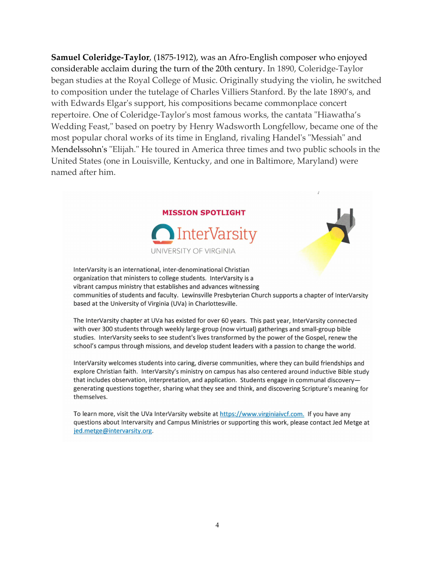**Samuel Coleridge-Taylor**, (1875-1912), was an Afro-English composer who enjoyed considerable acclaim during the turn of the 20th century. In 1890, Coleridge-Taylor began studies at the Royal College of Music. Originally studying the violin, he switched to composition under the tutelage of Charles Villiers Stanford. By the late 1890's, and with Edwards Elgar's support, his compositions became commonplace concert repertoire. One of Coleridge-Taylor's most famous works, the cantata "Hiawatha's Wedding Feast," based on poetry by Henry Wadsworth Longfellow, became one of the most popular choral works of its time in England, rivaling Handel's "Messiah" and Mendelssohn's "Elijah." He toured in America three times and two public schools in the United States (one in Louisville, Kentucky, and one in Baltimore, Maryland) were named after him.



InterVarsity is an international, inter-denominational Christian organization that ministers to college students. InterVarsity is a vibrant campus ministry that establishes and advances witnessing communities of students and faculty. Lewinsville Presbyterian Church supports a chapter of InterVarsity based at the University of Virginia (UVa) in Charlottesville.

The InterVarsity chapter at UVa has existed for over 60 years. This past year, InterVarsity connected with over 300 students through weekly large-group (now virtual) gatherings and small-group bible studies. InterVarsity seeks to see student's lives transformed by the power of the Gospel, renew the school's campus through missions, and develop student leaders with a passion to change the world.

InterVarsity welcomes students into caring, diverse communities, where they can build friendships and explore Christian faith. InterVarsity's ministry on campus has also centered around inductive Bible study that includes observation, interpretation, and application. Students engage in communal discoverygenerating questions together, sharing what they see and think, and discovering Scripture's meaning for themselves.

To learn more, visit the UVa InterVarsity website at https://www.virginiaivcf.com. If you have any questions about Intervarsity and Campus Ministries or supporting this work, please contact Jed Metge at jed.metge@intervarsity.org.